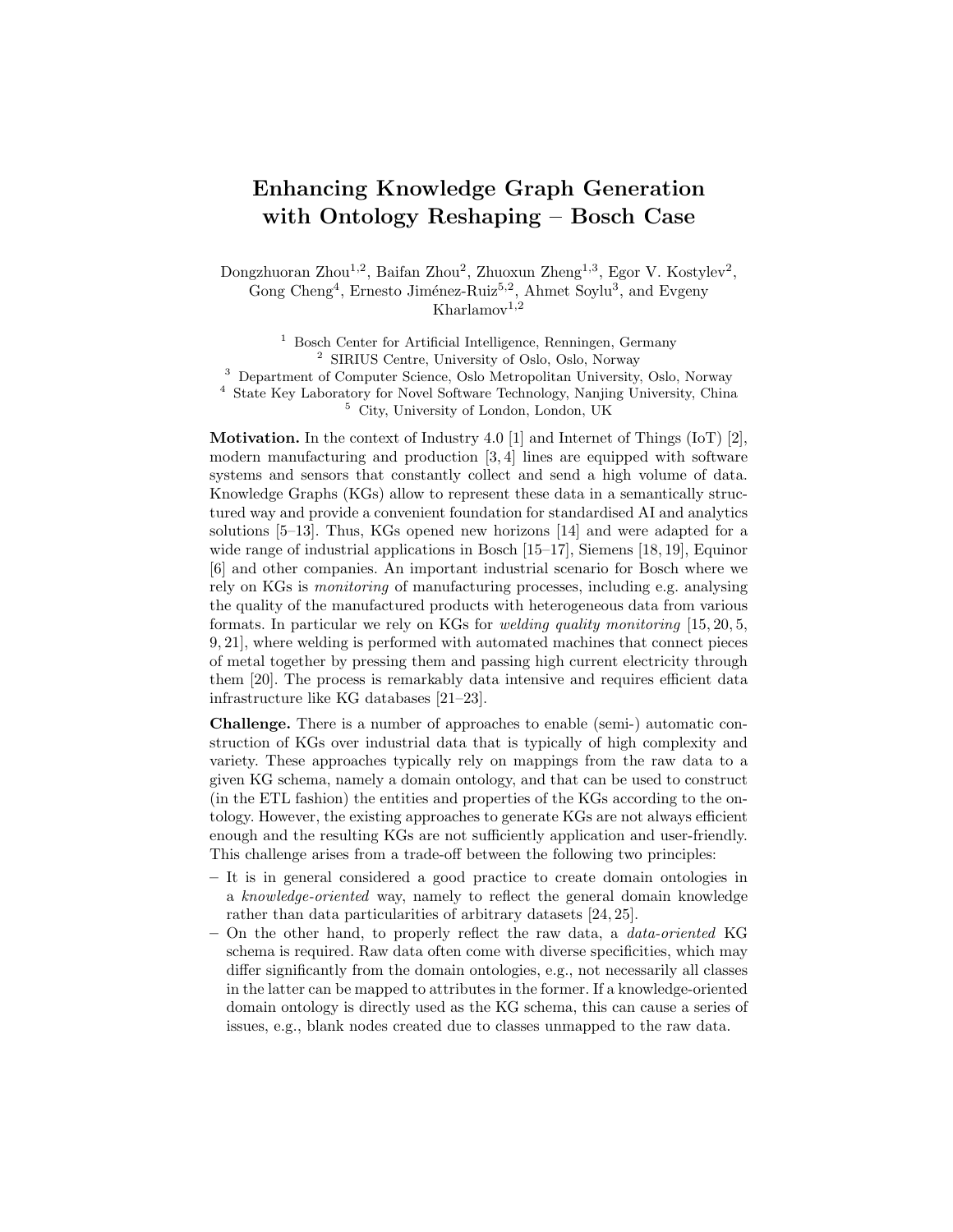## Enhancing Knowledge Graph Generation with Ontology Reshaping – Bosch Case

Dongzhuoran Zhou<sup>1,2</sup>, Baifan Zhou<sup>2</sup>, Zhuoxun Zheng<sup>1,3</sup>, Egor V. Kostylev<sup>2</sup>, Gong Cheng<sup>4</sup>, Ernesto Jiménez-Ruiz<sup>5,2</sup>, Ahmet Soylu<sup>3</sup>, and Evgeny  $Kharlamov<sup>1,2</sup>$ 

<sup>1</sup> Bosch Center for Artificial Intelligence, Renningen, Germany <sup>2</sup> SIRIUS Centre, University of Oslo, Oslo, Norway <sup>3</sup> Department of Computer Science, Oslo Metropolitan University, Oslo, Norway <sup>4</sup> State Key Laboratory for Novel Software Technology, Nanjing University, China

<sup>5</sup> City, University of London, London, UK

**Motivation.** In the context of Industry 4.0 [1] and Internet of Things (IoT) [2], modern manufacturing and production [3, 4] lines are equipped with software systems and sensors that constantly collect and send a high volume of data. Knowledge Graphs (KGs) allow to represent these data in a semantically structured way and provide a convenient foundation for standardised AI and analytics solutions [5–13]. Thus, KGs opened new horizons [14] and were adapted for a wide range of industrial applications in Bosch [15–17], Siemens [18, 19], Equinor [6] and other companies. An important industrial scenario for Bosch where we rely on KGs is monitoring of manufacturing processes, including e.g. analysing the quality of the manufactured products with heterogeneous data from various formats. In particular we rely on KGs for welding quality monitoring [15, 20, 5, 9, 21], where welding is performed with automated machines that connect pieces of metal together by pressing them and passing high current electricity through them [20]. The process is remarkably data intensive and requires efficient data infrastructure like KG databases [21–23].

Challenge. There is a number of approaches to enable (semi-) automatic construction of KGs over industrial data that is typically of high complexity and variety. These approaches typically rely on mappings from the raw data to a given KG schema, namely a domain ontology, and that can be used to construct (in the ETL fashion) the entities and properties of the KGs according to the ontology. However, the existing approaches to generate KGs are not always efficient enough and the resulting KGs are not sufficiently application and user-friendly. This challenge arises from a trade-off between the following two principles:

- It is in general considered a good practice to create domain ontologies in a knowledge-oriented way, namely to reflect the general domain knowledge rather than data particularities of arbitrary datasets [24, 25].
- On the other hand, to properly reflect the raw data, a data-oriented KG schema is required. Raw data often come with diverse specificities, which may differ significantly from the domain ontologies, e.g., not necessarily all classes in the latter can be mapped to attributes in the former. If a knowledge-oriented domain ontology is directly used as the KG schema, this can cause a series of issues, e.g., blank nodes created due to classes unmapped to the raw data.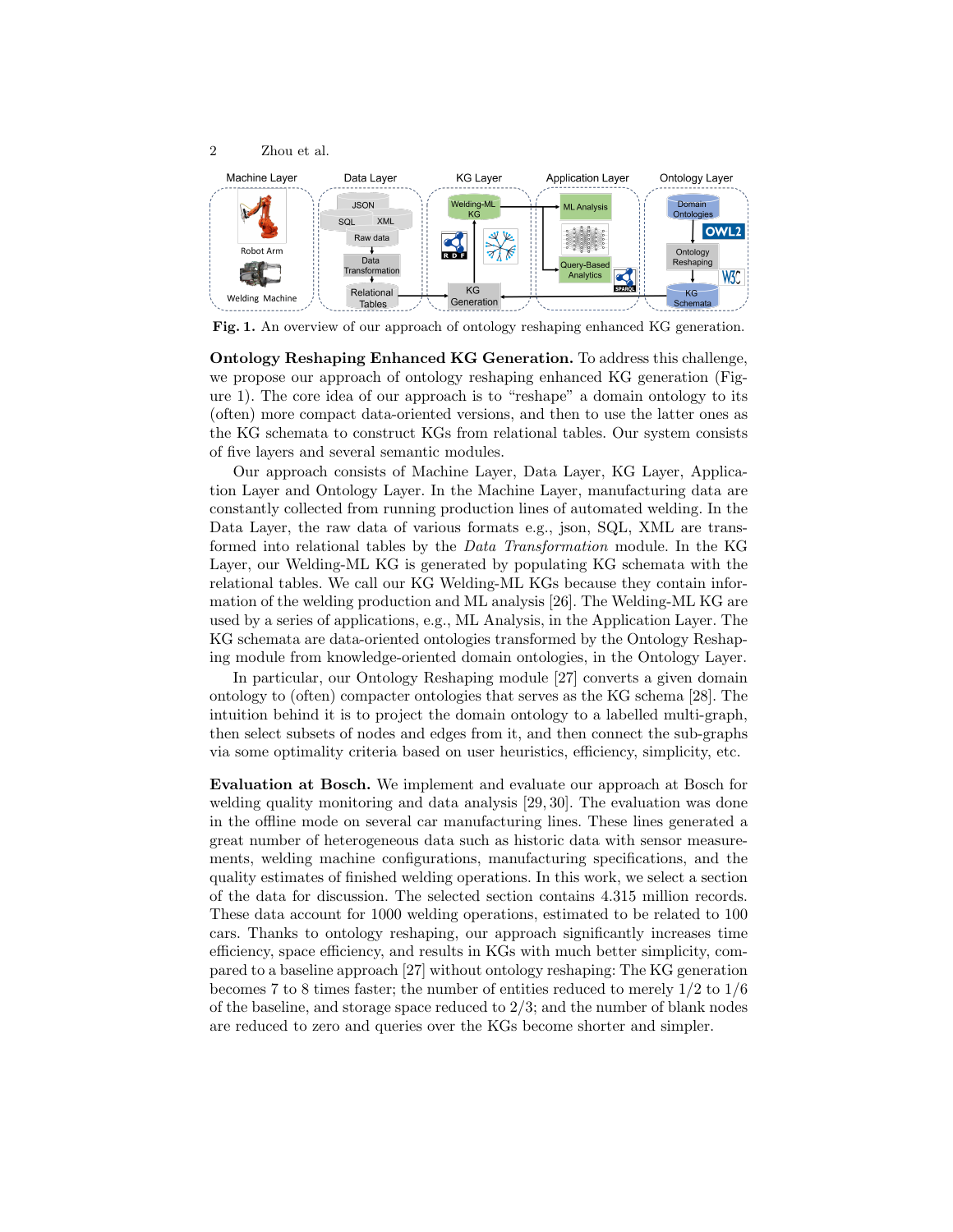

Fig. 1. An overview of our approach of ontology reshaping enhanced KG generation.

Ontology Reshaping Enhanced KG Generation. To address this challenge, we propose our approach of ontology reshaping enhanced KG generation (Figure 1). The core idea of our approach is to "reshape" a domain ontology to its (often) more compact data-oriented versions, and then to use the latter ones as the KG schemata to construct KGs from relational tables. Our system consists of five layers and several semantic modules.

Our approach consists of Machine Layer, Data Layer, KG Layer, Application Layer and Ontology Layer. In the Machine Layer, manufacturing data are constantly collected from running production lines of automated welding. In the Data Layer, the raw data of various formats e.g., json, SQL, XML are transformed into relational tables by the Data Transformation module. In the KG Layer, our Welding-ML KG is generated by populating KG schemata with the relational tables. We call our KG Welding-ML KGs because they contain information of the welding production and ML analysis [26]. The Welding-ML KG are used by a series of applications, e.g., ML Analysis, in the Application Layer. The KG schemata are data-oriented ontologies transformed by the Ontology Reshaping module from knowledge-oriented domain ontologies, in the Ontology Layer.

In particular, our Ontology Reshaping module [27] converts a given domain ontology to (often) compacter ontologies that serves as the KG schema [28]. The intuition behind it is to project the domain ontology to a labelled multi-graph, then select subsets of nodes and edges from it, and then connect the sub-graphs via some optimality criteria based on user heuristics, efficiency, simplicity, etc.

Evaluation at Bosch. We implement and evaluate our approach at Bosch for welding quality monitoring and data analysis [29, 30]. The evaluation was done in the offline mode on several car manufacturing lines. These lines generated a great number of heterogeneous data such as historic data with sensor measurements, welding machine configurations, manufacturing specifications, and the quality estimates of finished welding operations. In this work, we select a section of the data for discussion. The selected section contains 4.315 million records. These data account for 1000 welding operations, estimated to be related to 100 cars. Thanks to ontology reshaping, our approach significantly increases time efficiency, space efficiency, and results in KGs with much better simplicity, compared to a baseline approach [27] without ontology reshaping: The KG generation becomes 7 to 8 times faster; the number of entities reduced to merely 1/2 to 1/6 of the baseline, and storage space reduced to  $2/3$ ; and the number of blank nodes are reduced to zero and queries over the KGs become shorter and simpler.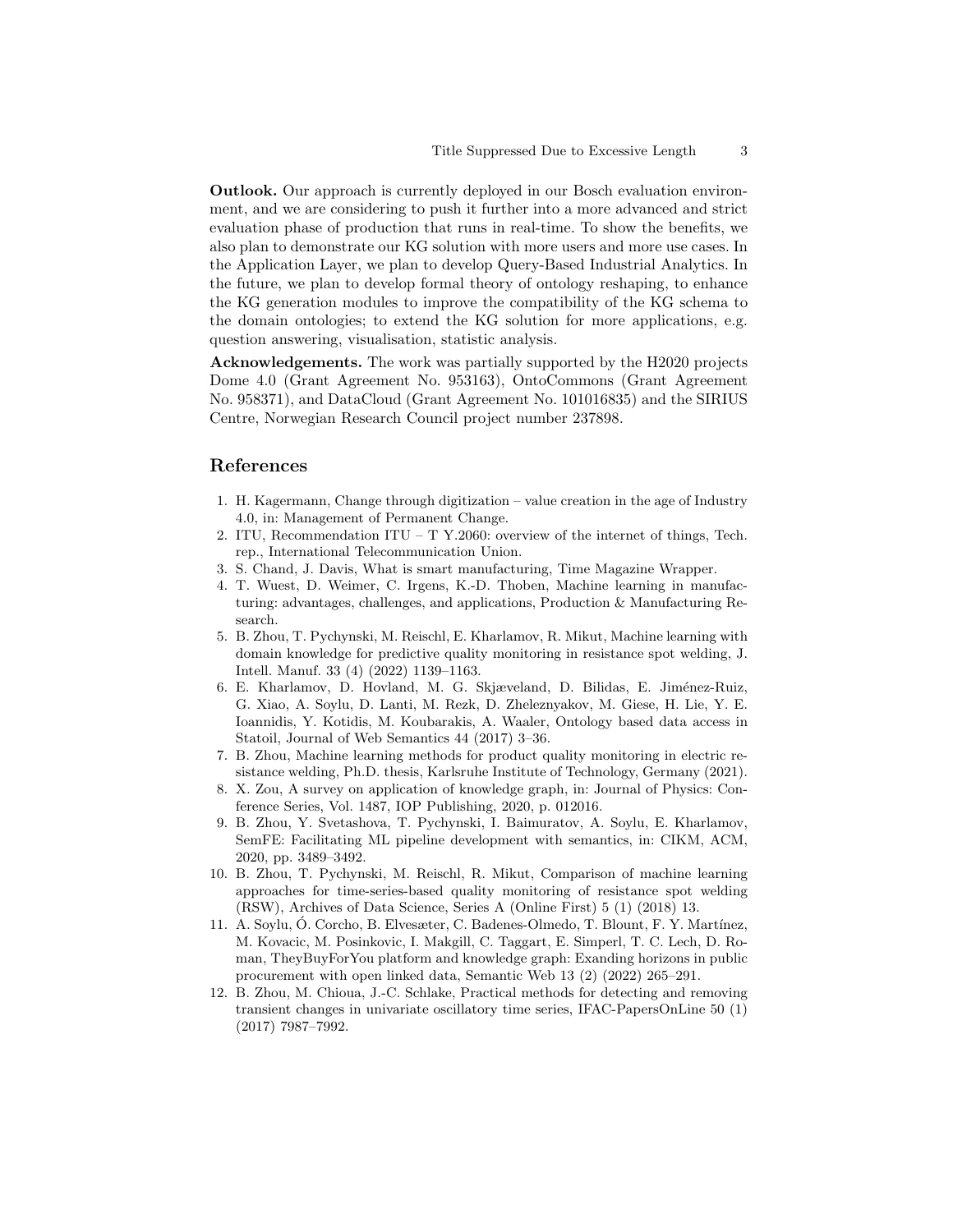Outlook. Our approach is currently deployed in our Bosch evaluation environment, and we are considering to push it further into a more advanced and strict evaluation phase of production that runs in real-time. To show the benefits, we also plan to demonstrate our KG solution with more users and more use cases. In the Application Layer, we plan to develop Query-Based Industrial Analytics. In the future, we plan to develop formal theory of ontology reshaping, to enhance the KG generation modules to improve the compatibility of the KG schema to the domain ontologies; to extend the KG solution for more applications, e.g. question answering, visualisation, statistic analysis.

Acknowledgements. The work was partially supported by the H2020 projects Dome 4.0 (Grant Agreement No. 953163), OntoCommons (Grant Agreement No. 958371), and DataCloud (Grant Agreement No. 101016835) and the SIRIUS Centre, Norwegian Research Council project number 237898.

## References

- 1. H. Kagermann, Change through digitization value creation in the age of Industry 4.0, in: Management of Permanent Change.
- 2. ITU, Recommendation ITU T Y.2060: overview of the internet of things, Tech. rep., International Telecommunication Union.
- 3. S. Chand, J. Davis, What is smart manufacturing, Time Magazine Wrapper.
- 4. T. Wuest, D. Weimer, C. Irgens, K.-D. Thoben, Machine learning in manufacturing: advantages, challenges, and applications, Production & Manufacturing Research.
- 5. B. Zhou, T. Pychynski, M. Reischl, E. Kharlamov, R. Mikut, Machine learning with domain knowledge for predictive quality monitoring in resistance spot welding, J. Intell. Manuf. 33 (4) (2022) 1139–1163.
- 6. E. Kharlamov, D. Hovland, M. G. Skjæveland, D. Bilidas, E. Jiménez-Ruiz, G. Xiao, A. Soylu, D. Lanti, M. Rezk, D. Zheleznyakov, M. Giese, H. Lie, Y. E. Ioannidis, Y. Kotidis, M. Koubarakis, A. Waaler, Ontology based data access in Statoil, Journal of Web Semantics 44 (2017) 3–36.
- 7. B. Zhou, Machine learning methods for product quality monitoring in electric resistance welding, Ph.D. thesis, Karlsruhe Institute of Technology, Germany (2021).
- 8. X. Zou, A survey on application of knowledge graph, in: Journal of Physics: Conference Series, Vol. 1487, IOP Publishing, 2020, p. 012016.
- 9. B. Zhou, Y. Svetashova, T. Pychynski, I. Baimuratov, A. Soylu, E. Kharlamov, SemFE: Facilitating ML pipeline development with semantics, in: CIKM, ACM, 2020, pp. 3489–3492.
- 10. B. Zhou, T. Pychynski, M. Reischl, R. Mikut, Comparison of machine learning approaches for time-series-based quality monitoring of resistance spot welding (RSW), Archives of Data Science, Series A (Online First) 5 (1) (2018) 13.
- 11. A. Soylu, Ó. Corcho, B. Elvesæter, C. Badenes-Olmedo, T. Blount, F. Y. Martínez, M. Kovacic, M. Posinkovic, I. Makgill, C. Taggart, E. Simperl, T. C. Lech, D. Roman, TheyBuyForYou platform and knowledge graph: Exanding horizons in public procurement with open linked data, Semantic Web 13 (2) (2022) 265–291.
- 12. B. Zhou, M. Chioua, J.-C. Schlake, Practical methods for detecting and removing transient changes in univariate oscillatory time series, IFAC-PapersOnLine 50 (1) (2017) 7987–7992.